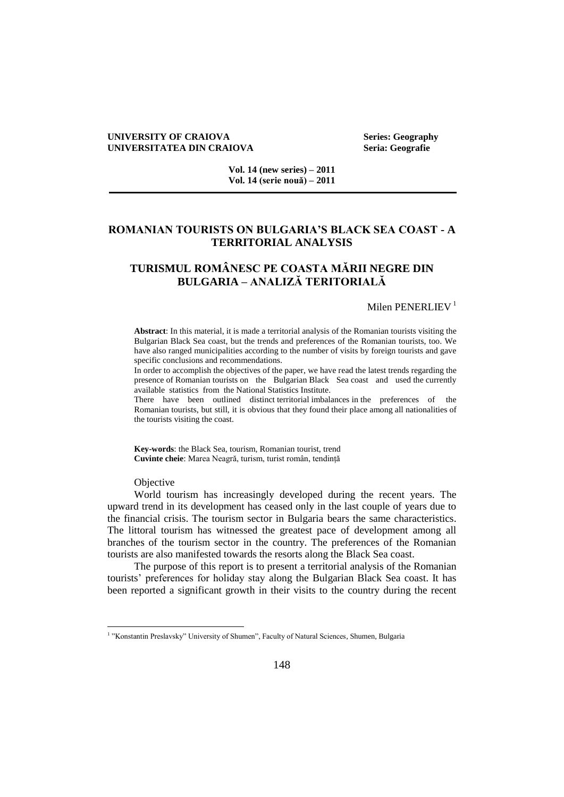#### **UNIVERSITY OF CRAIOVA Series: Geography UNIVERSITATEA DIN CRAIOVA Seria: Geografie**

**Vol. 14 (new series) – 2011 Vol. 14 (serie nouă) – 2011**

## **ROMANIAN TOURISTS ON BULGARIA'S BLACK SEA COAST - A TERRITORIAL ANALYSIS**

# **TURISMUL ROMÂNESC PE COASTA MĂRII NEGRE DIN BULGARIA – ANALIZĂ TERITORIALĂ**

### Milen PENERLIEV<sup>1</sup>

**Abstract**: In this material, it is made a territorial analysis of the Romanian tourists visiting the Bulgarian Black Sea coast, but the trends and preferences of the Romanian tourists, too. We have also ranged municipalities according to the number of visits by foreign tourists and gave specific conclusions and recommendations.

In order to accomplish the objectives of the paper, we have read the latest trends regarding the presence of Romanian tourists on the Bulgarian Black Sea coast and used the currently available statistics from the National Statistics Institute.

There have been outlined distinct territorial imbalances in the preferences of the Romanian tourists, but still, it is obvious that they found their place among all nationalities of the tourists visiting the coast.

**Key-words**: the Black Sea, tourism, Romanian tourist, trend **Cuvinte cheie**: Marea Neagră, turism, turist român, tendință

**Objective** 

World tourism has increasingly developed during the recent years. The upward trend in its development has ceased only in the last couple of years due to the financial crisis. The tourism sector in Bulgaria bears the same characteristics. The littoral tourism has witnessed the greatest pace of development among all branches of the tourism sector in the country. The preferences of the Romanian tourists are also manifested towards the resorts along the Black Sea coast.

The purpose of this report is to present a territorial analysis of the Romanian tourists' preferences for holiday stay along the Bulgarian Black Sea coast. It has been reported a significant growth in their visits to the country during the recent

 1 "Konstantin Preslavsky" University of Shumen", Faculty of Natural Sciences, Shumen, Bulgaria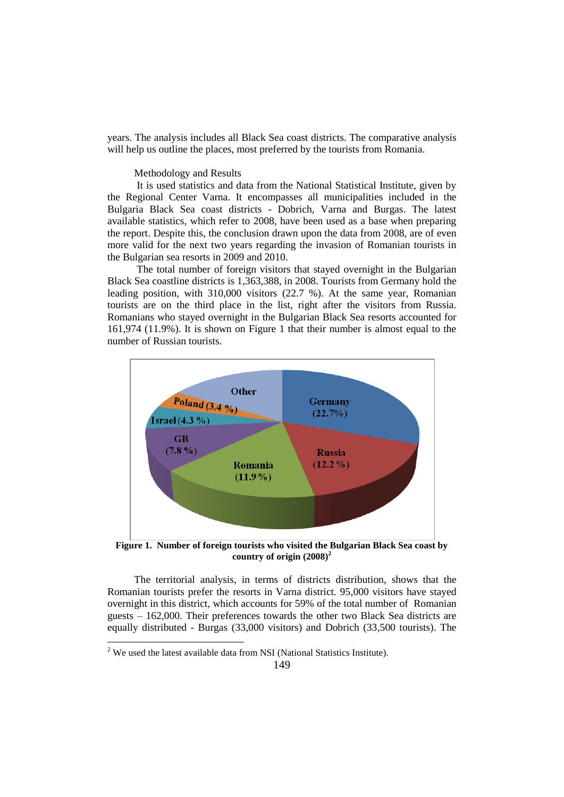years. The analysis includes all Black Sea coast districts. The comparative analysis will help us outline the places, most preferred by the tourists from Romania.

# Methodology and Results

It is used statistics and data from the National Statistical Institute, given by the Regional Center Varna. It encompasses all municipalities included in the Bulgaria Black Sea coast districts - Dobrich, Varna and Burgas. The latest available statistics, which refer to 2008, have been used as a base when preparing the report. Despite this, the conclusion drawn upon the data from 2008, are of even more valid for the next two years regarding the invasion of Romanian tourists in the Bulgarian sea resorts in 2009 and 2010.

The total number of foreign visitors that stayed overnight in the Bulgarian Black Sea coastline districts is 1,363,388, in 2008. Tourists from Germany hold the leading position, with 310,000 visitors (22.7 %). At the same year, Romanian tourists are on the third place in the list, right after the visitors from Russia. Romanians who stayed overnight in the Bulgarian Black Sea resorts accounted for 161,974 (11.9%). It is shown on Figure 1 that their number is almost equal to the number of Russian tourists.



**Figure 1. Number of foreign tourists who visited the Bulgarian Black Sea coast by country of origin (2008)<sup>2</sup>**

The territorial analysis, in terms of districts distribution, shows that the Romanian tourists prefer the resorts in Varna district. 95,000 visitors have stayed overnight in this district, which accounts for 59% of the total number of Romanian guests – 162,000. Their preferences towards the other two Black Sea districts are equally distributed - Burgas (33,000 visitors) and Dobrich (33,500 tourists). The

 $\overline{a}$ 

 $2$  We used the latest available data from NSI (National Statistics Institute).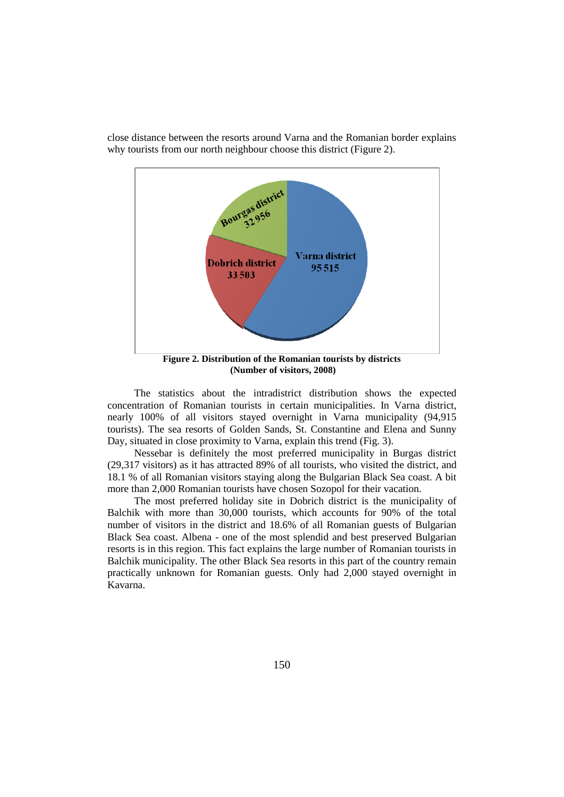

close distance between the resorts around Varna and the Romanian border explains why tourists from our north neighbour choose this district (Figure 2).

**(Number of visitors, 2008)**

The statistics about the intradistrict distribution shows the expected concentration of Romanian tourists in certain municipalities. In Varna district, nearly 100% of all visitors stayed overnight in Varna municipality (94,915 tourists). The sea resorts of Golden Sands, St. Constantine and Elena and Sunny Day, situated in close proximity to Varna, explain this trend (Fig. 3).

Nessebar is definitely the most preferred municipality in Burgas district (29,317 visitors) as it has attracted 89% of all tourists, who visited the district, and 18.1 % of all Romanian visitors staying along the Bulgarian Black Sea coast. A bit more than 2,000 Romanian tourists have chosen Sozopol for their vacation.

The most preferred holiday site in Dobrich district is the municipality of Balchik with more than 30,000 tourists, which accounts for 90% of the total number of visitors in the district and 18.6% of all Romanian guests of Bulgarian Black Sea coast. Albena - one of the most splendid and best preserved Bulgarian resorts is in this region. This fact explains the large number of Romanian tourists in Balchik municipality. The other Black Sea resorts in this part of the country remain practically unknown for Romanian guests. Only had 2,000 stayed overnight in Kavarna.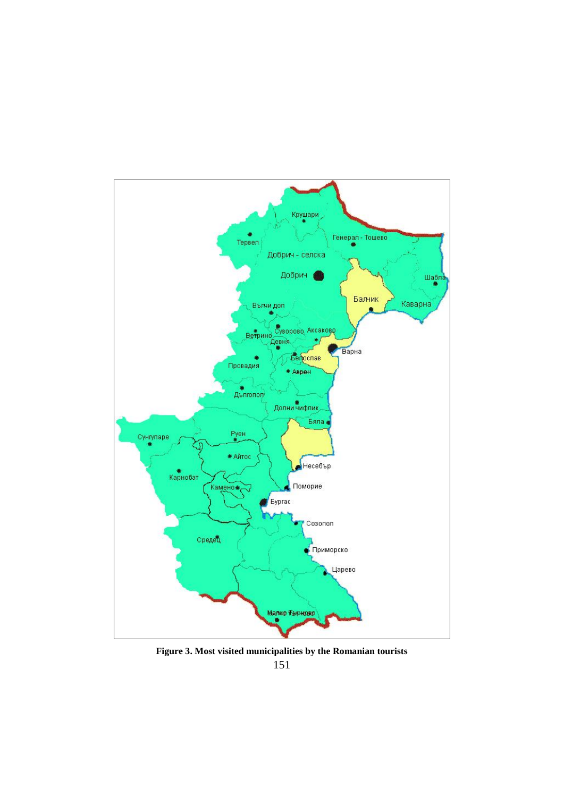

151 **Figure 3. Most visited municipalities by the Romanian tourists**